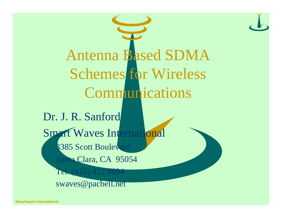

**Smartwaves International**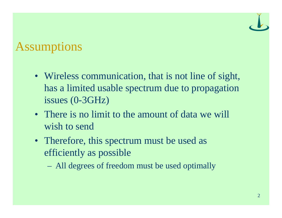## Assumptions

- Wireless communication, that is not line of sight, has a limited usable spectrum due to propagation issues (0-3GHz)
- There is no limit to the amount of data we will wish to send
- Therefore, this spectrum must be used as efficiently as possible
	- All degrees of freedom must be used optimally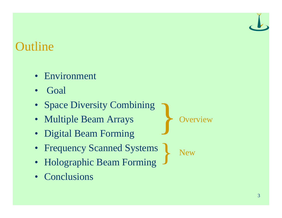## **Outline**

- Environment
- Goal
- Space Diversity Combining
- Multiple Beam Arrays
- Digital Beam Forming
- Frequency Scanned Systems }
- Holographic Beam Forming
- Conclusions

**Overview** }

**New**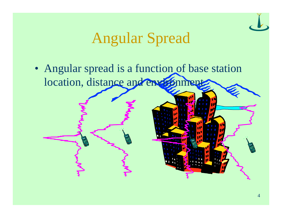# Angular Spread

• Angular spread is a function of base station location, distance and environment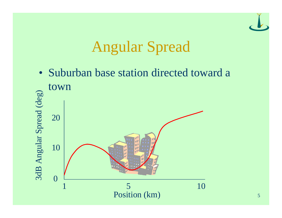

# Angular Spread

• Suburban base station directed toward a town 3dB Angular Spread (deg) 3dB Angular Spread (deg) 20 10 0 1 5 10Position (km)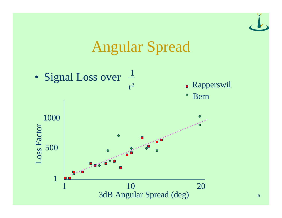

# Angular Spread

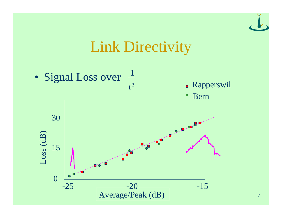

# Link Directivity



7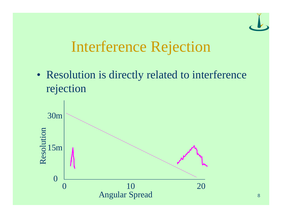

# Interference Rejection

• Resolution is directly related to interference rejection

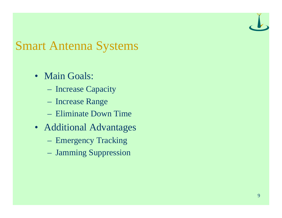## Smart Antenna Systems

- Main Goals:
	- Increase Capacity
	- Increase Range
	- Eliminate Down Time
- Additional Advantages
	- Emergency Tracking
	- Jamming Suppression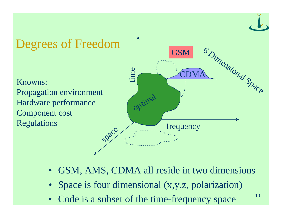

- GSM, AMS, CDMA all reside in two dimensions
- Space is four dimensional (x,y,z, polarization)
- Code is a subset of the time-frequency space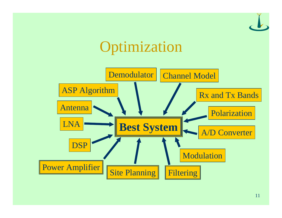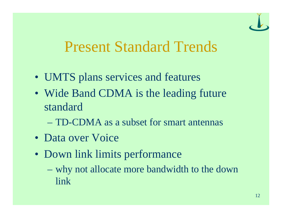

# Present Standard Trends

- UMTS plans services and features
- Wide Band CDMA is the leading future standard
	- TD-CDMA as a subset for smart antennas
- Data over Voice
- Down link limits performance
	- why not allocate more bandwidth to the down link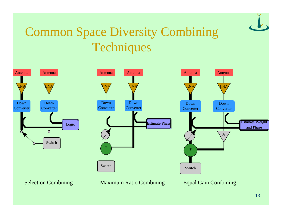

# Common Space Diversity Combining **Techniques**







Selection Combining Maximum Ratio Combining Equal Gain Combining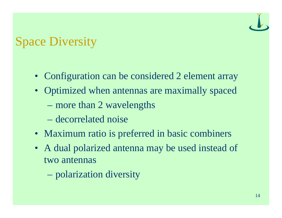# Space Diversity

- Configuration can be considered 2 element array
- Optimized when antennas are maximally spaced
	- more than 2 wavelengths
	- decorrelated noise
- Maximum ratio is preferred in basic combiners
- A dual polarized antenna may be used instead of two antennas
	- polarization diversity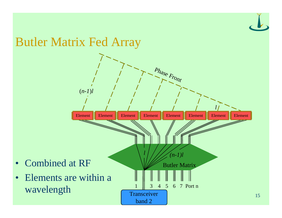## Butler Matrix Fed Array



15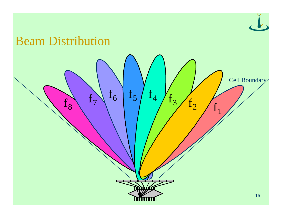

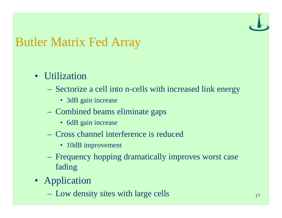# Butler Matrix Fed Array

## • Utilization

- Sectorize a cell into n-cells with increased link energy
	- 3dB gain increase
- Combined beams eliminate gaps
	- 6dB gain increase
- Cross channel interference is reduced
	- 10dB improvement
- Frequency hopping dramatically improves worst case fading
- Application
	- Low density sites with large cells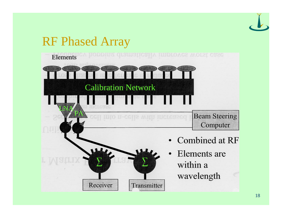## RF Phased Array

Receiver

Ejements ev hopping dramatically improves worst case Calibration Network Calibration Network **LNA** LNA  $\frac{\partial \mathbf{y}}{\partial \mathbf{y}}$ PA **Beam Steering** cell into n-cells with increased Computer • Combined at RF Elements are  $\sum$  $\Sigma$  3  $\Sigma$ 

Transmitter

- within a
- wavelength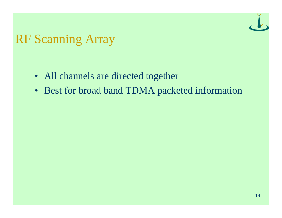

## RF Scanning Array

- All channels are directed together
- Best for broad band TDMA packeted information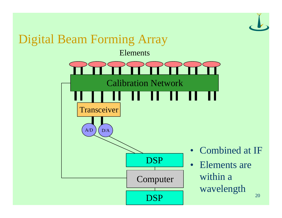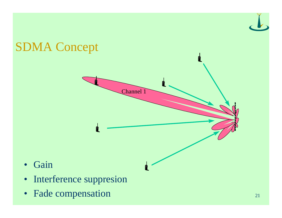

• Fade compensation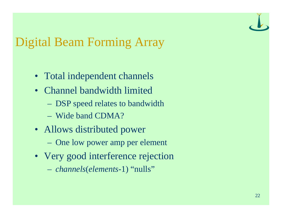

# Digital Beam Forming Array

- Total independent channels
- Channel bandwidth limited
	- DSP speed relates to bandwidth
	- Wide band CDMA?
- Allows distributed power
	- One low power amp per element
- Very good interference rejection
	- *channels*(*elements*-1) "nulls"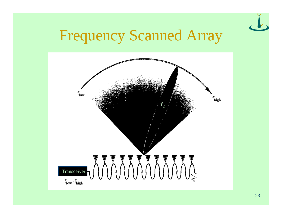

# Frequency Scanned Array

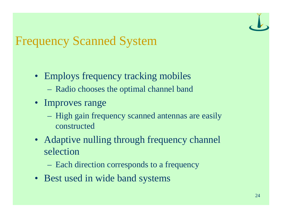# Frequency Scanned System

- Employs frequency tracking mobiles
	- Radio chooses the optimal channel band
- Improves range
	- High gain frequency scanned antennas are easily constructed
- Adaptive nulling through frequency channel selection
	- Each direction corresponds to a frequency
- Best used in wide band systems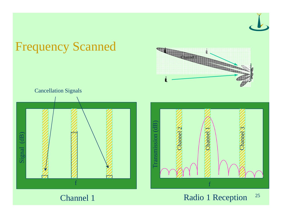

25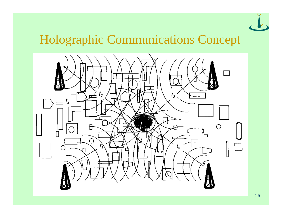

# Holographic Communications Concept

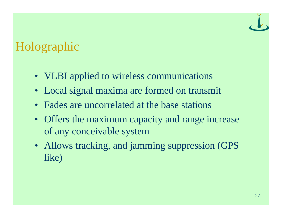# Holographic

- VLBI applied to wireless communications
- Local signal maxima are formed on transmit
- Fades are uncorrelated at the base stations
- Offers the maximum capacity and range increase of any conceivable system
- Allows tracking, and jamming suppression (GPS like)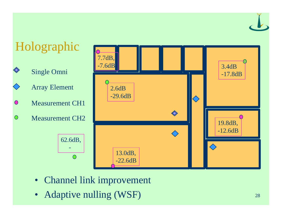Holographic 7.7dB, -7.6dB 3.4dB Single Omni -17.8dB Array Element 2.6dB -29.6dB  $\Diamond$ Measurement CH1  $\bullet$  $\diamondsuit$  $\bigcirc$ Measurement CH219.8dB, -12.6dB 62.6dB,  $\Diamond$  - 13.0dB,  $\overline{O}$ -22.6dB

- Channel link improvement
- Adaptive nulling (WSF)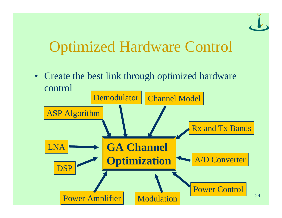

# Optimized Hardware Control

• Create the best link through optimized hardware control